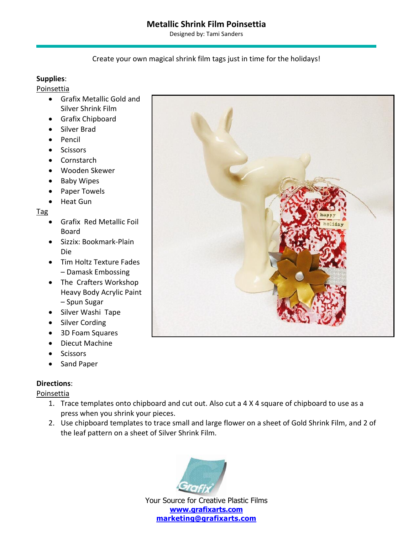# **Metallic Shrink Film Poinsettia**

Designed by: Tami Sanders

### Create your own magical shrink film tags just in time for the holidays!

### **Supplies**:

#### Poinsettia

- Grafix Metallic Gold and Silver Shrink Film
- Grafix Chipboard
- Silver Brad
- Pencil
- Scissors
- Cornstarch
- Wooden Skewer
- Baby Wipes
- Paper Towels
- Heat Gun

#### Tag

- Grafix Red Metallic Foil Board
- Sizzix: Bookmark-Plain Die
- Tim Holtz Texture Fades – Damask Embossing
- The Crafters Workshop Heavy Body Acrylic Paint – Spun Sugar
- Silver Washi Tape
- Silver Cording
- 3D Foam Squares
- Diecut Machine
- Scissors
- Sand Paper

### **Directions**:

Poinsettia

- 1. Trace templates onto chipboard and cut out. Also cut a 4 X 4 square of chipboard to use as a press when you shrink your pieces.
- 2. Use chipboard templates to trace small and large flower on a sheet of Gold Shrink Film, and 2 of the leaf pattern on a sheet of Silver Shrink Film.



Your Source for Creative Plastic Films **[marketing@grafixarts.com](mailto:marketing@grafixarts.com)**